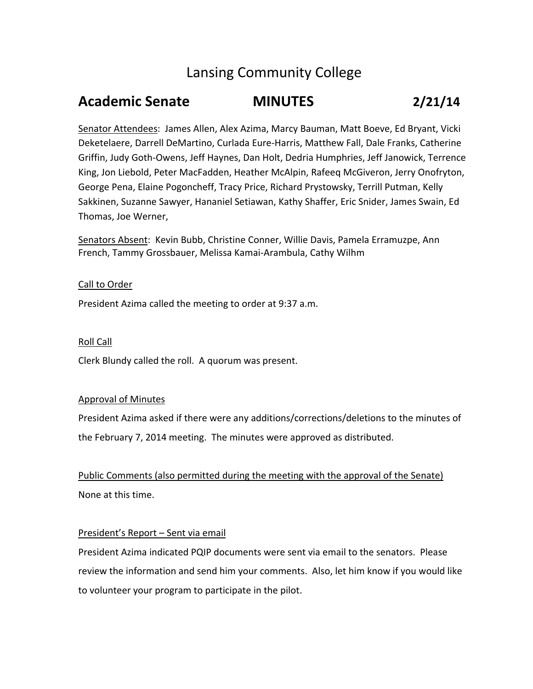# Lansing Community College

# **Academic Senate MINUTES 2/21/14**

Senator Attendees: James Allen, Alex Azima, Marcy Bauman, Matt Boeve, Ed Bryant, Vicki Deketelaere, Darrell DeMartino, Curlada Eure‐Harris, Matthew Fall, Dale Franks, Catherine Griffin, Judy Goth‐Owens, Jeff Haynes, Dan Holt, Dedria Humphries, Jeff Janowick, Terrence King, Jon Liebold, Peter MacFadden, Heather McAlpin, Rafeeq McGiveron, Jerry Onofryton, George Pena, Elaine Pogoncheff, Tracy Price, Richard Prystowsky, Terrill Putman, Kelly Sakkinen, Suzanne Sawyer, Hananiel Setiawan, Kathy Shaffer, Eric Snider, James Swain, Ed Thomas, Joe Werner,

Senators Absent: Kevin Bubb, Christine Conner, Willie Davis, Pamela Erramuzpe, Ann French, Tammy Grossbauer, Melissa Kamai‐Arambula, Cathy Wilhm

# Call to Order

President Azima called the meeting to order at 9:37 a.m.

# Roll Call

Clerk Blundy called the roll. A quorum was present.

# Approval of Minutes

President Azima asked if there were any additions/corrections/deletions to the minutes of the February 7, 2014 meeting. The minutes were approved as distributed.

Public Comments (also permitted during the meeting with the approval of the Senate) None at this time.

# President's Report – Sent via email

President Azima indicated PQIP documents were sent via email to the senators. Please review the information and send him your comments. Also, let him know if you would like to volunteer your program to participate in the pilot.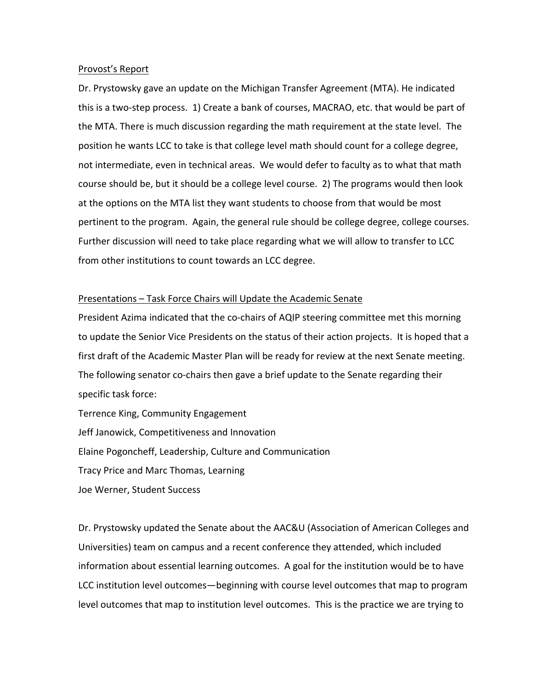#### Provost's Report

Dr. Prystowsky gave an update on the Michigan Transfer Agreement (MTA). He indicated this is a two‐step process. 1) Create a bank of courses, MACRAO, etc. that would be part of the MTA. There is much discussion regarding the math requirement at the state level. The position he wants LCC to take is that college level math should count for a college degree, not intermediate, even in technical areas. We would defer to faculty as to what that math course should be, but it should be a college level course. 2) The programs would then look at the options on the MTA list they want students to choose from that would be most pertinent to the program. Again, the general rule should be college degree, college courses. Further discussion will need to take place regarding what we will allow to transfer to LCC from other institutions to count towards an LCC degree.

#### Presentations – Task Force Chairs will Update the Academic Senate

President Azima indicated that the co-chairs of AQIP steering committee met this morning to update the Senior Vice Presidents on the status of their action projects. It is hoped that a first draft of the Academic Master Plan will be ready for review at the next Senate meeting. The following senator co-chairs then gave a brief update to the Senate regarding their specific task force:

Terrence King, Community Engagement Jeff Janowick, Competitiveness and Innovation Elaine Pogoncheff, Leadership, Culture and Communication Tracy Price and Marc Thomas, Learning Joe Werner, Student Success

Dr. Prystowsky updated the Senate about the AAC&U (Association of American Colleges and Universities) team on campus and a recent conference they attended, which included information about essential learning outcomes. A goal for the institution would be to have LCC institution level outcomes—beginning with course level outcomes that map to program level outcomes that map to institution level outcomes. This is the practice we are trying to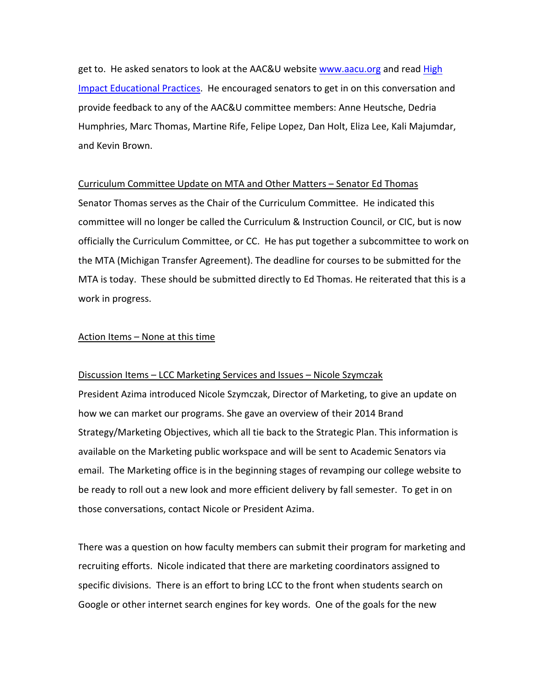get to. He asked senators to look at the AAC&U website www.aacu.org and read High Impact Educational Practices. He encouraged senators to get in on this conversation and provide feedback to any of the AAC&U committee members: Anne Heutsche, Dedria Humphries, Marc Thomas, Martine Rife, Felipe Lopez, Dan Holt, Eliza Lee, Kali Majumdar, and Kevin Brown.

### Curriculum Committee Update on MTA and Other Matters – Senator Ed Thomas

Senator Thomas serves as the Chair of the Curriculum Committee. He indicated this committee will no longer be called the Curriculum & Instruction Council, or CIC, but is now officially the Curriculum Committee, or CC. He has put together a subcommittee to work on the MTA (Michigan Transfer Agreement). The deadline for courses to be submitted for the MTA is today. These should be submitted directly to Ed Thomas. He reiterated that this is a work in progress.

### Action Items – None at this time

#### Discussion Items – LCC Marketing Services and Issues – Nicole Szymczak

President Azima introduced Nicole Szymczak, Director of Marketing, to give an update on how we can market our programs. She gave an overview of their 2014 Brand Strategy/Marketing Objectives, which all tie back to the Strategic Plan. This information is available on the Marketing public workspace and will be sent to Academic Senators via email. The Marketing office is in the beginning stages of revamping our college website to be ready to roll out a new look and more efficient delivery by fall semester. To get in on those conversations, contact Nicole or President Azima.

There was a question on how faculty members can submit their program for marketing and recruiting efforts. Nicole indicated that there are marketing coordinators assigned to specific divisions. There is an effort to bring LCC to the front when students search on Google or other internet search engines for key words. One of the goals for the new